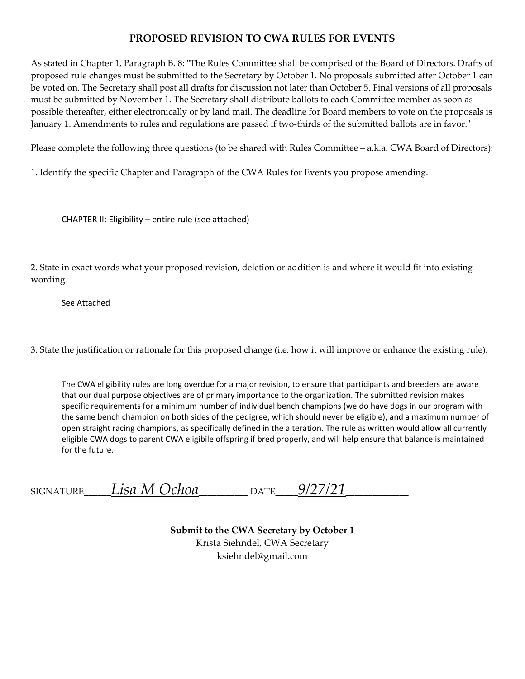#### **PROPOSED REVISION TO CWA RULES FOR EVENTS**

As stated in Chapter 1, Paragraph B. 8: "The Rules Committee shall be comprised of the Board of Directors. Drafts of proposed rule changes must be submitted to the Secretary by October 1. No proposals submitted after October 1 can be voted on. The Secretary shall post all drafts for discussion not later than October 5. Final versions of all proposals must be submitted by November 1. The Secretary shall distribute ballots to each Committee member as soon as possible thereafter, either electronically or by land mail. The deadline for Board members to vote on the proposals is January 1. Amendments to rules and regulations are passed if two-thirds of the submitted ballots are in favor."

Please complete the following three questions (to be shared with Rules Committee – a.k.a. CWA Board of Directors):

1. Identify the specific Chapter and Paragraph of the CWA Rules for Events you propose amending.

CHAPTER II: Eligibility – entire rule (see attached)

2. State in exact words what your proposed revision, deletion or addition is and where it would fit into existing wording.

See Attached

3. State the justification or rationale for this proposed change (i.e. how it will improve or enhance the existing rule).

The CWA eligibility rules are long overdue for a major revision, to ensure that participants and breeders are aware that our dual purpose objectives are of primary importance to the organization. The submitted revision makes specific requirements for a minimum number of individual bench champions (we do have dogs in our program with the same bench champion on both sides of the pedigree, which should never be eligible), and a maximum number of open straight racing champions, as specifically defined in the alteration. The rule as written would allow all currently eligible CWA dogs to parent CWA eligibile offspring if bred properly, and will help ensure that balance is maintained for the future.

| <b>SIGNATURE</b> | Lisa M Ochoa | . mr<br>IΔ | 9/27/27 |
|------------------|--------------|------------|---------|
|                  |              |            |         |

**Submit to the CWA Secretary by October 1** Krista Siehndel, CWA Secretary ksiehndel@gmail.com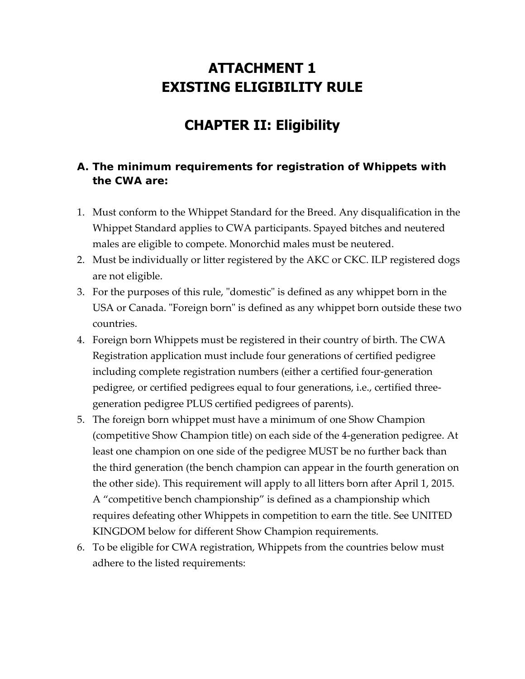# **ATTACHMENT 1 EXISTING ELIGIBILITY RULE**

# **CHAPTER II: Eligibility**

#### **A. The minimum requirements for registration of Whippets with the CWA are:**

- 1. Must conform to the Whippet Standard for the Breed. Any disqualification in the Whippet Standard applies to CWA participants. Spayed bitches and neutered males are eligible to compete. Monorchid males must be neutered.
- 2. Must be individually or litter registered by the AKC or CKC. ILP registered dogs are not eligible.
- 3. For the purposes of this rule, "domestic" is defined as any whippet born in the USA or Canada. "Foreign born" is defined as any whippet born outside these two countries.
- 4. Foreign born Whippets must be registered in their country of birth. The CWA Registration application must include four generations of certified pedigree including complete registration numbers (either a certified four‐generation pedigree, or certified pedigrees equal to four generations, i.e., certified three‐ generation pedigree PLUS certified pedigrees of parents).
- 5. The foreign born whippet must have a minimum of one Show Champion (competitive Show Champion title) on each side of the 4‐generation pedigree. At least one champion on one side of the pedigree MUST be no further back than the third generation (the bench champion can appear in the fourth generation on the other side). This requirement will apply to all litters born after April 1, 2015. A "competitive bench championship" is defined as a championship which requires defeating other Whippets in competition to earn the title. See UNITED KINGDOM below for different Show Champion requirements.
- 6. To be eligible for CWA registration, Whippets from the countries below must adhere to the listed requirements: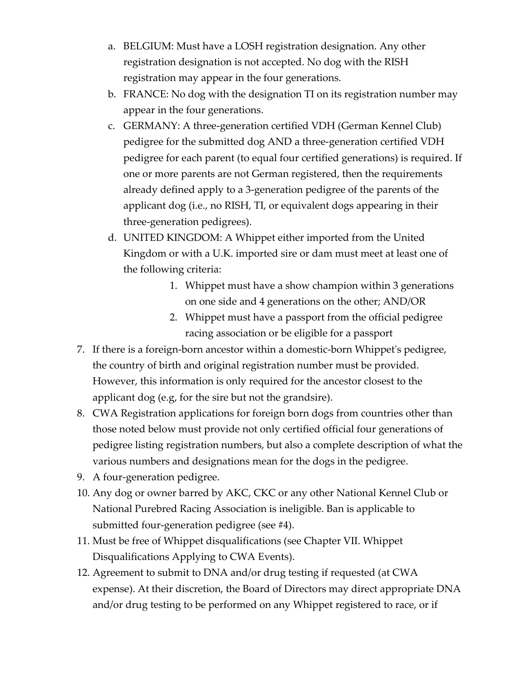- a. BELGIUM: Must have a LOSH registration designation. Any other registration designation is not accepted. No dog with the RISH registration may appear in the four generations.
- b. FRANCE: No dog with the designation TI on its registration number may appear in the four generations.
- c. GERMANY: A three‐generation certified VDH (German Kennel Club) pedigree for the submitted dog AND a three‐generation certified VDH pedigree for each parent (to equal four certified generations) is required. If one or more parents are not German registered, then the requirements already defined apply to a 3‐generation pedigree of the parents of the applicant dog (i.e., no RISH, TI, or equivalent dogs appearing in their three‐generation pedigrees).
- d. UNITED KINGDOM: A Whippet either imported from the United Kingdom or with a U.K. imported sire or dam must meet at least one of the following criteria:
	- 1. Whippet must have a show champion within 3 generations on one side and 4 generations on the other; AND/OR
	- 2. Whippet must have a passport from the official pedigree racing association or be eligible for a passport
- 7. If there is a foreign‐born ancestor within a domestic‐born Whippetʹs pedigree, the country of birth and original registration number must be provided. However, this information is only required for the ancestor closest to the applicant dog (e.g, for the sire but not the grandsire).
- 8. CWA Registration applications for foreign born dogs from countries other than those noted below must provide not only certified official four generations of pedigree listing registration numbers, but also a complete description of what the various numbers and designations mean for the dogs in the pedigree.
- 9. A four‐generation pedigree.
- 10. Any dog or owner barred by AKC, CKC or any other National Kennel Club or National Purebred Racing Association is ineligible. Ban is applicable to submitted four‐generation pedigree (see #4).
- 11. Must be free of Whippet disqualifications (see Chapter VII. Whippet Disqualifications Applying to CWA Events).
- 12. Agreement to submit to DNA and/or drug testing if requested (at CWA expense). At their discretion, the Board of Directors may direct appropriate DNA and/or drug testing to be performed on any Whippet registered to race, or if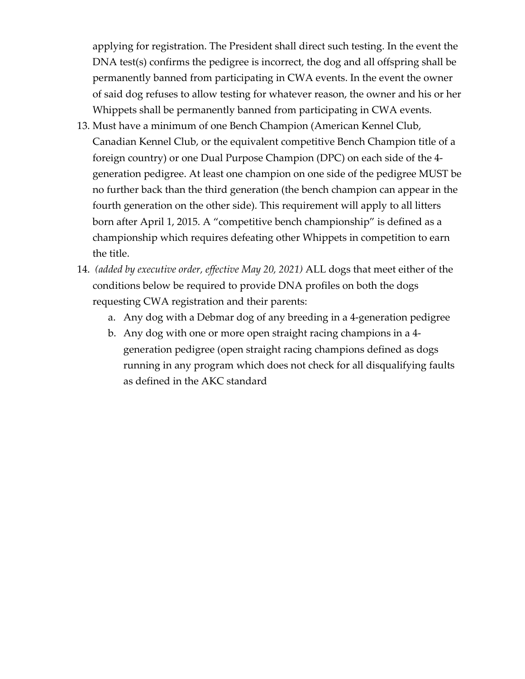applying for registration. The President shall direct such testing. In the event the DNA test(s) confirms the pedigree is incorrect, the dog and all offspring shall be permanently banned from participating in CWA events. In the event the owner of said dog refuses to allow testing for whatever reason, the owner and his or her Whippets shall be permanently banned from participating in CWA events.

- 13. Must have a minimum of one Bench Champion (American Kennel Club, Canadian Kennel Club, or the equivalent competitive Bench Champion title of a foreign country) or one Dual Purpose Champion (DPC) on each side of the 4‐ generation pedigree. At least one champion on one side of the pedigree MUST be no further back than the third generation (the bench champion can appear in the fourth generation on the other side). This requirement will apply to all litters born after April 1, 2015. A "competitive bench championship" is defined as a championship which requires defeating other Whippets in competition to earn the title.
- 14. *(added by executive order, effective May 20, 2021)* ALL dogs that meet either of the conditions below be required to provide DNA profiles on both the dogs requesting CWA registration and their parents:
	- a. Any dog with a Debmar dog of any breeding in a 4‐generation pedigree
	- b. Any dog with one or more open straight racing champions in a 4‐ generation pedigree (open straight racing champions defined as dogs running in any program which does not check for all disqualifying faults as defined in the AKC standard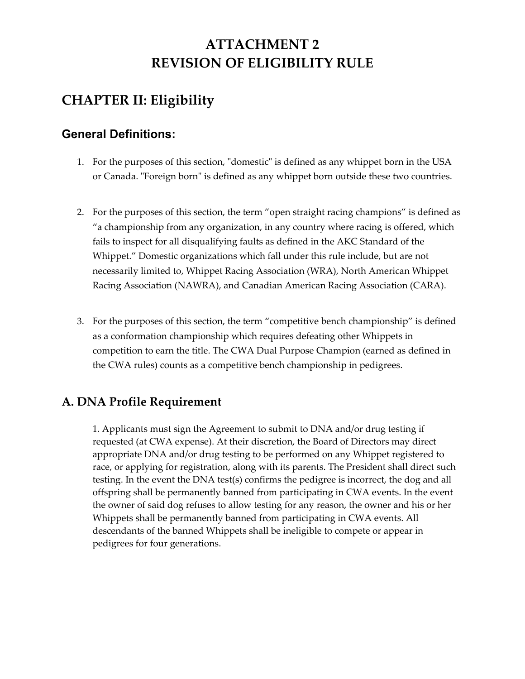# **ATTACHMENT 2 REVISION OF ELIGIBILITY RULE**

# **CHAPTER II: Eligibility**

#### **General Definitions:**

- 1. For the purposes of this section, "domestic" is defined as any whippet born in the USA or Canada. "Foreign born" is defined as any whippet born outside these two countries.
- 2. For the purposes of this section, the term "open straight racing champions" is defined as "a championship from any organization, in any country where racing is offered, which fails to inspect for all disqualifying faults as defined in the AKC Standard of the Whippet." Domestic organizations which fall under this rule include, but are not necessarily limited to, Whippet Racing Association (WRA), North American Whippet Racing Association (NAWRA), and Canadian American Racing Association (CARA).
- 3. For the purposes of this section, the term "competitive bench championship" is defined as a conformation championship which requires defeating other Whippets in competition to earn the title. The CWA Dual Purpose Champion (earned as defined in the CWA rules) counts as a competitive bench championship in pedigrees.

#### **A. DNA Profile Requirement**

1. Applicants must sign the Agreement to submit to DNA and/or drug testing if requested (at CWA expense). At their discretion, the Board of Directors may direct appropriate DNA and/or drug testing to be performed on any Whippet registered to race, or applying for registration, along with its parents. The President shall direct such testing. In the event the DNA test(s) confirms the pedigree is incorrect, the dog and all offspring shall be permanently banned from participating in CWA events. In the event the owner of said dog refuses to allow testing for any reason, the owner and his or her Whippets shall be permanently banned from participating in CWA events. All descendants of the banned Whippets shall be ineligible to compete or appear in pedigrees for four generations.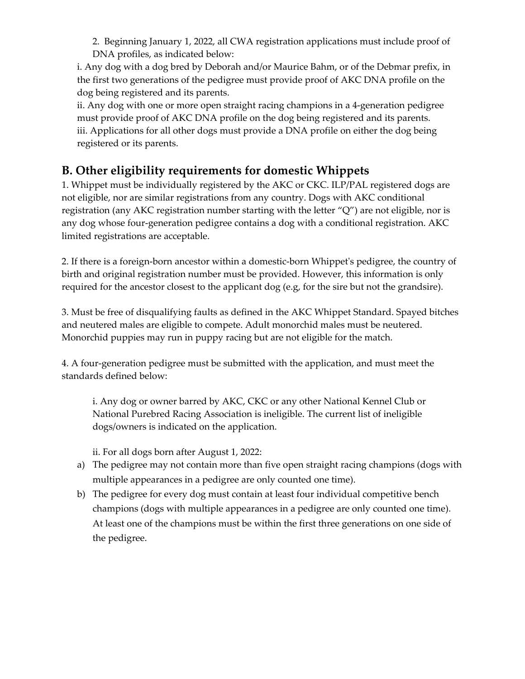2. Beginning January 1, 2022, all CWA registration applications must include proof of DNA profiles, as indicated below:

i. Any dog with a dog bred by Deborah and/or Maurice Bahm, or of the Debmar prefix, in the first two generations of the pedigree must provide proof of AKC DNA profile on the dog being registered and its parents.

ii. Any dog with one or more open straight racing champions in a 4‐generation pedigree must provide proof of AKC DNA profile on the dog being registered and its parents. iii. Applications for all other dogs must provide a DNA profile on either the dog being registered or its parents.

### **B. Other eligibility requirements for domestic Whippets**

1. Whippet must be individually registered by the AKC or CKC. ILP/PAL registered dogs are not eligible, nor are similar registrations from any country. Dogs with AKC conditional registration (any AKC registration number starting with the letter "Q") are not eligible, nor is any dog whose four‐generation pedigree contains a dog with a conditional registration. AKC limited registrations are acceptable.

2. If there is a foreign‐born ancestor within a domestic‐born Whippetʹs pedigree, the country of birth and original registration number must be provided. However, this information is only required for the ancestor closest to the applicant dog (e.g, for the sire but not the grandsire).

3. Must be free of disqualifying faults as defined in the AKC Whippet Standard. Spayed bitches and neutered males are eligible to compete. Adult monorchid males must be neutered. Monorchid puppies may run in puppy racing but are not eligible for the match.

4. A four‐generation pedigree must be submitted with the application, and must meet the standards defined below:

i. Any dog or owner barred by AKC, CKC or any other National Kennel Club or National Purebred Racing Association is ineligible. The current list of ineligible dogs/owners is indicated on the application.

ii. For all dogs born after August 1, 2022:

- a) The pedigree may not contain more than five open straight racing champions (dogs with multiple appearances in a pedigree are only counted one time).
- b) The pedigree for every dog must contain at least four individual competitive bench champions (dogs with multiple appearances in a pedigree are only counted one time). At least one of the champions must be within the first three generations on one side of the pedigree.